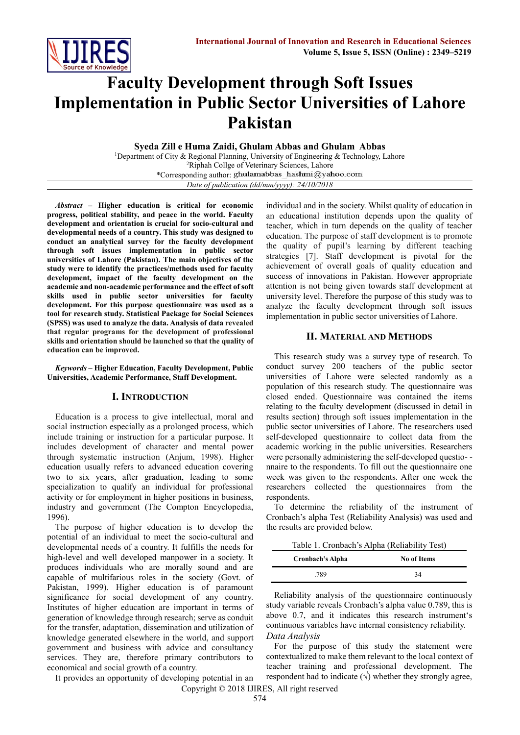

# **Faculty Development through Soft Issues Implementation in Public Sector Universities of Lahore Pakistan**

**Syeda Zill e Huma Zaidi, Ghulam Abbas and Ghulam Abbas**

<sup>1</sup>Department of City & Regional Planning, University of Engineering & Technology, Lahore <sup>2</sup>Riphah Collge of Veterinary Sciences, Lahore \*Corresponding author: *Date of publication (dd/mm/yyyy): 24/10/2018*

*Abstract* **– Higher education is critical for economic progress, political stability, and peace in the world. Faculty development and orientation is crucial for socio-cultural and developmental needs of a country. This study was designed to conduct an analytical survey for the faculty development through soft issues implementation in public sector universities of Lahore (Pakistan). The main objectives of the study were to identify the practices/methods used for faculty development, impact of the faculty development on the academic and non-academic performance and the effect of soft skills used in public sector universities for faculty development. For this purpose questionnaire was used as a tool for research study. Statistical Package for Social Sciences (SPSS) was used to analyze the data. Analysis of data revealed that regular programs for the development of professional skills and orientation should be launched so that the quality of education can be improved.**

*Keywords* **– Higher Education, Faculty Development, Public Universities, Academic Performance, Staff Development.**

## **I. INTRODUCTION**

Education is a process to give intellectual, moral and social instruction especially as a prolonged process, which include training or instruction for a particular purpose. It includes development of character and mental power through systematic instruction (Anjum, 1998). Higher education usually refers to advanced education covering two to six years, after graduation, leading to some specialization to qualify an individual for professional activity or for employment in higher positions in business, industry and government (The Compton Encyclopedia, 1996).

The purpose of higher education is to develop the potential of an individual to meet the socio-cultural and developmental needs of a country. It fulfills the needs for high-level and well developed manpower in a society. It produces individuals who are morally sound and are capable of multifarious roles in the society (Govt. of Pakistan, 1999). Higher education is of paramount significance for social development of any country. Institutes of higher education are important in terms of generation of knowledge through research; serve as conduit for the transfer, adaptation, dissemination and utilization of knowledge generated elsewhere in the world, and support government and business with advice and consultancy services. They are, therefore primary contributors to economical and social growth of a country.

It provides an opportunity of developing potential in an

individual and in the society. Whilst quality of education in an educational institution depends upon the quality of teacher, which in turn depends on the quality of teacher education. The purpose of staff development is to promote the quality of pupil's learning by different teaching strategies [7]. Staff development is pivotal for the achievement of overall goals of quality education and success of innovations in Pakistan. However appropriate attention is not being given towards staff development at university level. Therefore the purpose of this study was to analyze the faculty development through soft issues implementation in public sector universities of Lahore.

#### **II. MATERIAL AND METHODS**

This research study was a survey type of research. To conduct survey 200 teachers of the public sector universities of Lahore were selected randomly as a population of this research study. The questionnaire was closed ended. Questionnaire was contained the items relating to the faculty development (discussed in detail in results section) through soft issues implementation in the public sector universities of Lahore. The researchers used self-developed questionnaire to collect data from the academic working in the public universities. Researchers were personally administering the self-developed questio- nnaire to the respondents. To fill out the questionnaire one week was given to the respondents. After one week the researchers collected the questionnaires from the respondents.

To determine the reliability of the instrument of Cronbach's alpha Test (Reliability Analysis) was used and the results are provided below.

Table 1. Cronbach's Alpha (Reliability Test)

| Cronbach's Alpha | <b>No of Items</b> |
|------------------|--------------------|
| .789             | 34                 |

Reliability analysis of the questionnaire continuously study variable reveals Cronbach's alpha value 0.789, this is above 0.7, and it indicates this research instrument's continuous variables have internal consistency reliability. *Data Analysis*

For the purpose of this study the statement were contextualized to make them relevant to the local context of teacher training and professional development. The respondent had to indicate  $(\sqrt{ } )$  whether they strongly agree,

Copyright © 2018 IJIRES, All right reserved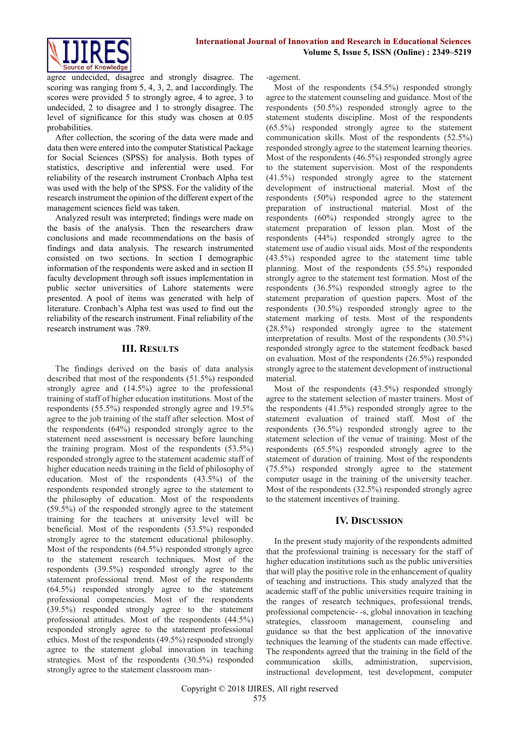

agree undecided, disagree and strongly disagree. The scoring was ranging from 5, 4, 3, 2, and 1accordingly. The scores were provided 5 to strongly agree, 4 to agree, 3 to undecided, 2 to disagree and 1 to strongly disagree. The level of significance for this study was chosen at 0.05 probabilities.

After collection, the scoring of the data were made and data then were entered into the computer Statistical Package for Social Sciences (SPSS) for analysis. Both types of statistics, descriptive and inferential were used. For reliability of the research instrument Cronbach Alpha test was used with the help of the SPSS. For the validity of the research instrument the opinion of the different expert of the management sciences field was taken.

Analyzed result was interpreted; findings were made on the basis of the analysis. Then the researchers draw conclusions and made recommendations on the basis of findings and data analysis. The research instrumented consisted on two sections. In section I demographic information of the respondents were asked and in section II faculty development through soft issues implementation in public sector universities of Lahore statements were presented. A pool of items was generated with help of literature. Cronbach's Alpha test was used to find out the reliability of the research instrument. Final reliability of the research instrument was .789.

## **III. RESULTS**

The findings derived on the basis of data analysis described that most of the respondents (51.5%) responded strongly agree and (14.5%) agree to the professional training of staff of higher education institutions. Most of the respondents (55.5%) responded strongly agree and 19.5% agree to the job training of the staff after selection. Most of the respondents (64%) responded strongly agree to the statement need assessment is necessary before launching the training program. Most of the respondents (53.5%) responded strongly agree to the statement academic staff of higher education needs training in the field of philosophy of education. Most of the respondents (43.5%) of the respondents responded strongly agree to the statement to the philosophy of education. Most of the respondents (59.5%) of the responded strongly agree to the statement training for the teachers at university level will be beneficial. Most of the respondents (53.5%) responded strongly agree to the statement educational philosophy. Most of the respondents (64.5%) responded strongly agree to the statement research techniques. Most of the respondents (39.5%) responded strongly agree to the statement professional trend. Most of the respondents (64.5%) responded strongly agree to the statement professional competencies. Most of the respondents (39.5%) responded strongly agree to the statement professional attitudes. Most of the respondents (44.5%) responded strongly agree to the statement professional ethics. Most of the respondents (49.5%) responded strongly agree to the statement global innovation in teaching strategies. Most of the respondents (30.5%) responded strongly agree to the statement classroom man-agement.

Most of the respondents (54.5%) responded strongly agree to the statement counseling and guidance. Most of the respondents (50.5%) responded strongly agree to the statement students discipline. Most of the respondents (65.5%) responded strongly agree to the statement communication skills. Most of the respondents (52.5%) responded strongly agree to the statement learning theories. Most of the respondents (46.5%) responded strongly agree to the statement supervision. Most of the respondents (41.5%) responded strongly agree to the statement development of instructional material. Most of the respondents (50%) responded agree to the statement preparation of instructional material. Most of the respondents (60%) responded strongly agree to the statement preparation of lesson plan. Most of the respondents (44%) responded strongly agree to the statement use of audio visual aids. Most of the respondents (43.5%) responded agree to the statement time table planning. Most of the respondents (55.5%) responded strongly agree to the statement test formation. Most of the respondents (36.5%) responded strongly agree to the statement preparation of question papers. Most of the respondents (30.5%) responded strongly agree to the statement marking of tests. Most of the respondents (28.5%) responded strongly agree to the statement interpretation of results. Most of the respondents (30.5%) responded strongly agree to the statement feedback based on evaluation. Most of the respondents (26.5%) responded strongly agree to the statement development of instructional material.

Most of the respondents (43.5%) responded strongly agree to the statement selection of master trainers. Most of the respondents (41.5%) responded strongly agree to the statement evaluation of trained staff. Most of the respondents (36.5%) responded strongly agree to the statement selection of the venue of training. Most of the respondents (65.5%) responded strongly agree to the statement of duration of training. Most of the respondents (75.5%) responded strongly agree to the statement computer usage in the training of the university teacher. Most of the respondents (32.5%) responded strongly agree to the statement incentives of training.

## **IV. DISCUSSION**

In the present study majority of the respondents admitted that the professional training is necessary for the staff of higher education institutions such as the public universities that will play the positive role in the enhancement of quality of teaching and instructions. This study analyzed that the academic staff of the public universities require training in the ranges of research techniques, professional trends, professional competencie- -s, global innovation in teaching strategies, classroom management, counseling and guidance so that the best application of the innovative techniques the learning of the students can made effective. The respondents agreed that the training in the field of the communication skills, administration, supervision, instructional development, test development, computer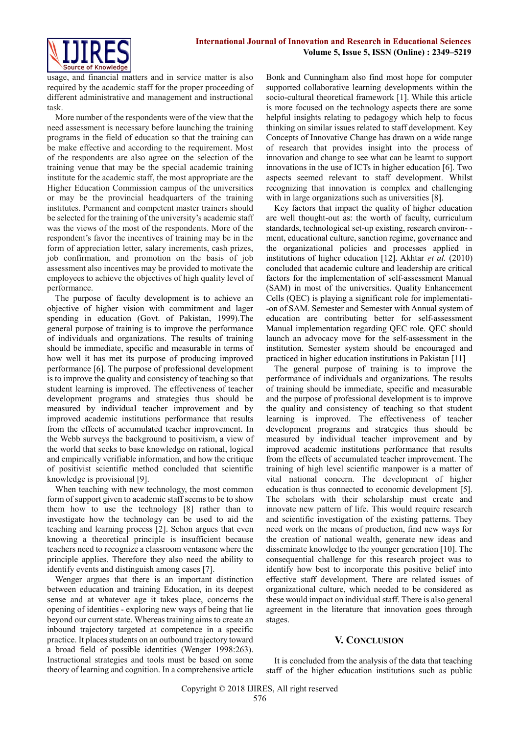

usage, and financial matters and in service matter is also required by the academic staff for the proper proceeding of different administrative and management and instructional task.

More number of the respondents were of the view that the need assessment is necessary before launching the training programs in the field of education so that the training can be make effective and according to the requirement. Most of the respondents are also agree on the selection of the training venue that may be the special academic training institute for the academic staff, the most appropriate are the Higher Education Commission campus of the universities or may be the provincial headquarters of the training institutes. Permanent and competent master trainers should be selected for the training of the university's academic staff was the views of the most of the respondents. More of the respondent's favor the incentives of training may be in the form of appreciation letter, salary increments, cash prizes, job confirmation, and promotion on the basis of job assessment also incentives may be provided to motivate the employees to achieve the objectives of high quality level of performance.

The purpose of faculty development is to achieve an objective of higher vision with commitment and lager spending in education (Govt. of Pakistan, 1999).The general purpose of training is to improve the performance of individuals and organizations. The results of training should be immediate, specific and measurable in terms of how well it has met its purpose of producing improved performance [6]. The purpose of professional development is to improve the quality and consistency of teaching so that student learning is improved. The effectiveness of teacher development programs and strategies thus should be measured by individual teacher improvement and by improved academic institutions performance that results from the effects of accumulated teacher improvement. In the Webb surveys the background to positivism, a view of the world that seeks to base knowledge on rational, logical and empirically verifiable information, and how the critique of positivist scientific method concluded that scientific knowledge is provisional [9].

When teaching with new technology, the most common form of support given to academic staff seems to be to show them how to use the technology [8] rather than to investigate how the technology can be used to aid the teaching and learning process [2]. Schon argues that even knowing a theoretical principle is insufficient because teachers need to recognize a classroom ventasone where the principle applies. Therefore they also need the ability to identify events and distinguish among cases [7].

Wenger argues that there is an important distinction between education and training Education, in its deepest sense and at whatever age it takes place, concerns the opening of identities - exploring new ways of being that lie beyond our current state. Whereas training aims to create an inbound trajectory targeted at competence in a specific practice. It places students on an outbound trajectory toward a broad field of possible identities (Wenger 1998:263). Instructional strategies and tools must be based on some theory of learning and cognition. In a comprehensive article Bonk and Cunningham also find most hope for computer supported collaborative learning developments within the socio-cultural theoretical framework [1]. While this article is more focused on the technology aspects there are some helpful insights relating to pedagogy which help to focus thinking on similar issues related to staff development. Key Concepts of Innovative Change has drawn on a wide range of research that provides insight into the process of innovation and change to see what can be learnt to support innovations in the use of ICTs in higher education [6]. Two aspects seemed relevant to staff development. Whilst recognizing that innovation is complex and challenging with in large organizations such as universities [8].

Key factors that impact the quality of higher education are well thought-out as: the worth of faculty, curriculum standards, technological set-up existing, research environ- ment, educational culture, sanction regime, governance and the organizational policies and processes applied in institutions of higher education [12]. Akhtar *et al.* (2010) concluded that academic culture and leadership are critical factors for the implementation of self-assessment Manual (SAM) in most of the universities. Quality Enhancement Cells (QEC) is playing a significant role for implementati- -on of SAM. Semester and Semester with Annual system of education are contributing better for self-assessment Manual implementation regarding QEC role. QEC should launch an advocacy move for the self-assessment in the institution. Semester system should be encouraged and practiced in higher education institutions in Pakistan [11]

The general purpose of training is to improve the performance of individuals and organizations. The results of training should be immediate, specific and measurable and the purpose of professional development is to improve the quality and consistency of teaching so that student learning is improved. The effectiveness of teacher development programs and strategies thus should be measured by individual teacher improvement and by improved academic institutions performance that results from the effects of accumulated teacher improvement. The training of high level scientific manpower is a matter of vital national concern. The development of higher education is thus connected to economic development [5]. The scholars with their scholarship must create and innovate new pattern of life. This would require research and scientific investigation of the existing patterns. They need work on the means of production, find new ways for the creation of national wealth, generate new ideas and disseminate knowledge to the younger generation [10]. The consequential challenge for this research project was to identify how best to incorporate this positive belief into effective staff development. There are related issues of organizational culture, which needed to be considered as these would impact on individual staff. There is also general agreement in the literature that innovation goes through stages.

# **V. CONCLUSION**

It is concluded from the analysis of the data that teaching staff of the higher education institutions such as public